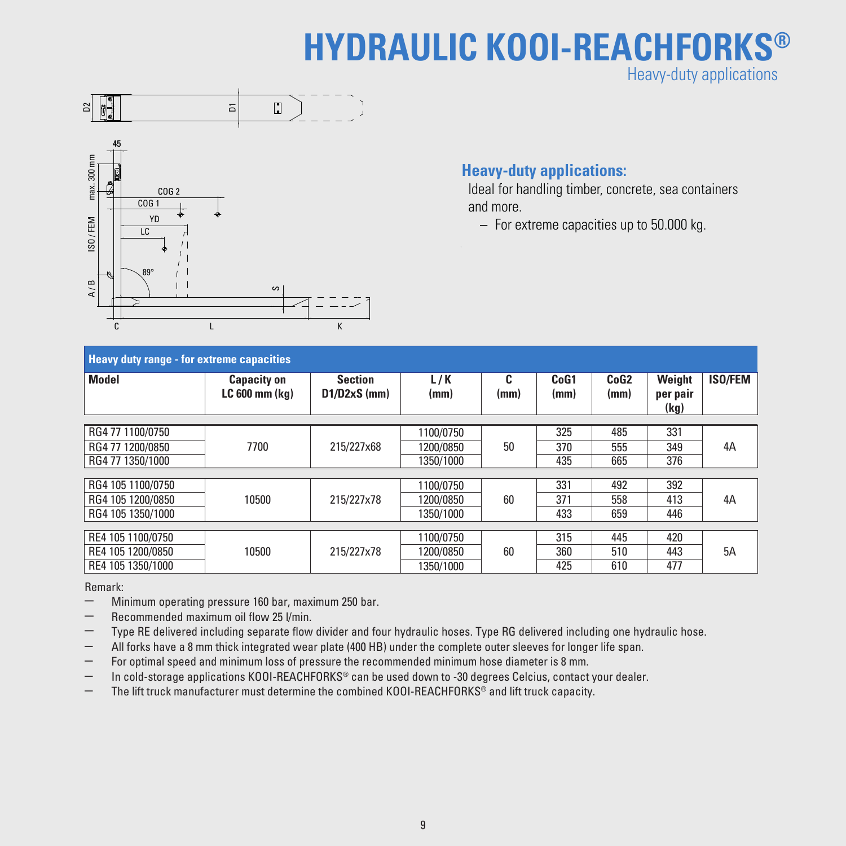## **HYDRAULIC KOOI-REACHFORKS®** Heavy-duty applications





## **Heavy-duty applications:**

 Ideal for handling timber, concrete, sea containers and more.

– For extreme capacities up to 50.000 kg.

| <b>Heavy duty range - for extreme capacities</b> |                                      |                                  |             |           |                          |                          |                            |                |  |  |  |
|--------------------------------------------------|--------------------------------------|----------------------------------|-------------|-----------|--------------------------|--------------------------|----------------------------|----------------|--|--|--|
| <b>Model</b>                                     | <b>Capacity on</b><br>LC 600 mm (kg) | <b>Section</b><br>$D1/D2xS$ (mm) | L/K<br>(mm) | C<br>(mm) | CoG <sub>1</sub><br>(mm) | CoG <sub>2</sub><br>(mm) | Weight<br>per pair<br>(kg) | <b>ISO/FEM</b> |  |  |  |
| RG4 77 1100/0750                                 |                                      |                                  |             |           | 325                      | 485                      | 331                        |                |  |  |  |
|                                                  |                                      |                                  | 1100/0750   |           |                          |                          |                            |                |  |  |  |
| RG4 77 1200/0850                                 | 7700                                 | 215/227x68                       | 1200/0850   | 50        | 370                      | 555                      | 349                        | 4A             |  |  |  |
| RG4 77 1350/1000                                 |                                      |                                  | 1350/1000   |           | 435                      | 665                      | 376                        |                |  |  |  |
|                                                  |                                      |                                  |             |           |                          |                          |                            |                |  |  |  |
| RG4 105 1100/0750                                | 10500                                | 215/227x78                       | 1100/0750   | 60        | 331                      | 492                      | 392                        | 4A             |  |  |  |
| RG4 105 1200/0850                                |                                      |                                  | 1200/0850   |           | 371                      | 558                      | 413                        |                |  |  |  |
| RG4 105 1350/1000                                |                                      |                                  | 1350/1000   |           | 433                      | 659                      | 446                        |                |  |  |  |
|                                                  |                                      |                                  |             |           |                          |                          |                            |                |  |  |  |
| RE4 105 1100/0750                                |                                      |                                  | 1100/0750   |           | 315                      | 445                      | 420                        |                |  |  |  |
| RE4 105 1200/0850                                | 10500                                | 215/227x78                       | 1200/0850   | 60        | 360                      | 510                      | 443                        | 5A             |  |  |  |
| RE4 105 1350/1000                                |                                      |                                  | 1350/1000   |           | 425                      | 610                      | 477                        |                |  |  |  |

Remark:

- Minimum operating pressure <sup>160</sup> bar, maximum <sup>250</sup> bar.
- Recommended maximum oil flow <sup>25</sup> l/min.
- Type RE delivered including separate flow divider and four hydraulic hoses. Type RG delivered including one hydraulic hose.
- All forks have a 8 mm thick integrated wear plate (400 HB) under the complete outer sleeves for longer life span.
- For optimal speed and minimum loss of pressure the recommended minimum hose diameter is 8 mm.
- In cold-storage applications KOOI-REACHFORKS® can be used down to -30 degrees Celcius, contact your dealer.
- The lift truck manufacturer must determine the combined KOOI-REACHFORKS® and lift truck capacity.